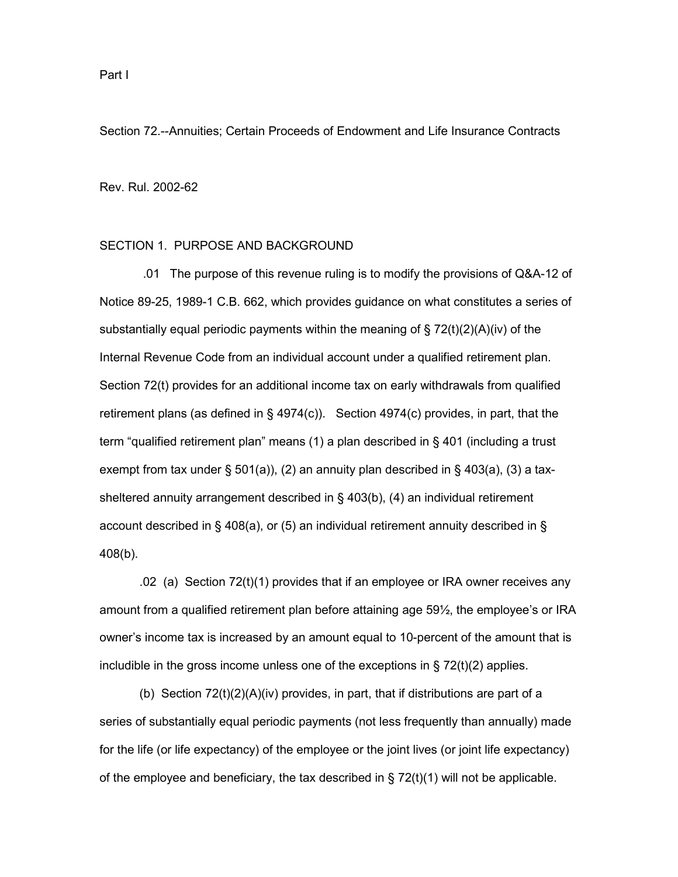Section 72.--Annuities; Certain Proceeds of Endowment and Life Insurance Contracts

Rev. Rul. 2002-62

### SECTION 1. PURPOSE AND BACKGROUND

 .01 The purpose of this revenue ruling is to modify the provisions of Q&A-12 of Notice 89-25, 1989-1 C.B. 662, which provides guidance on what constitutes a series of substantially equal periodic payments within the meaning of  $\S 72(t)(2)(A)(iv)$  of the Internal Revenue Code from an individual account under a qualified retirement plan. Section 72(t) provides for an additional income tax on early withdrawals from qualified retirement plans (as defined in § 4974(c)). Section 4974(c) provides, in part, that the term "qualified retirement plan" means (1) a plan described in § 401 (including a trust exempt from tax under § 501(a)), (2) an annuity plan described in § 403(a), (3) a taxsheltered annuity arrangement described in § 403(b), (4) an individual retirement account described in § 408(a), or (5) an individual retirement annuity described in § 408(b).

.02 (a) Section 72(t)(1) provides that if an employee or IRA owner receives any amount from a qualified retirement plan before attaining age 59½, the employee's or IRA owner's income tax is increased by an amount equal to 10-percent of the amount that is includible in the gross income unless one of the exceptions in  $\S 72(t)(2)$  applies.

(b) Section 72(t)(2)(A)(iv) provides, in part, that if distributions are part of a series of substantially equal periodic payments (not less frequently than annually) made for the life (or life expectancy) of the employee or the joint lives (or joint life expectancy) of the employee and beneficiary, the tax described in  $\S 72(t)(1)$  will not be applicable.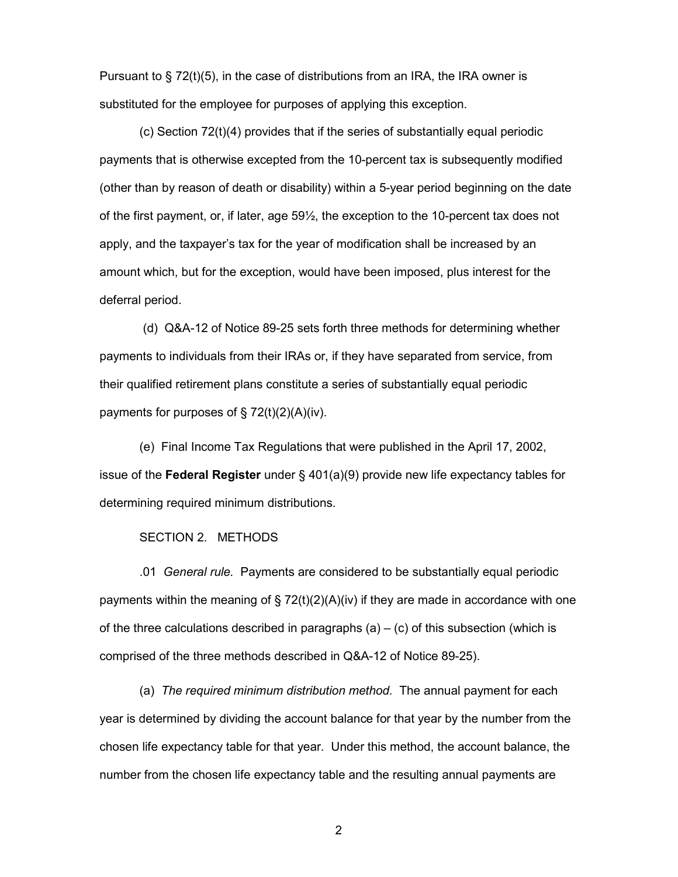Pursuant to  $\S$  72(t)(5), in the case of distributions from an IRA, the IRA owner is substituted for the employee for purposes of applying this exception.

(c) Section 72(t)(4) provides that if the series of substantially equal periodic payments that is otherwise excepted from the 10-percent tax is subsequently modified (other than by reason of death or disability) within a 5-year period beginning on the date of the first payment, or, if later, age 59½, the exception to the 10-percent tax does not apply, and the taxpayer's tax for the year of modification shall be increased by an amount which, but for the exception, would have been imposed, plus interest for the deferral period.

 (d) Q&A-12 of Notice 89-25 sets forth three methods for determining whether payments to individuals from their IRAs or, if they have separated from service, from their qualified retirement plans constitute a series of substantially equal periodic payments for purposes of § 72(t)(2)(A)(iv).

(e) Final Income Tax Regulations that were published in the April 17, 2002, issue of the **Federal Register** under § 401(a)(9) provide new life expectancy tables for determining required minimum distributions.

## SECTION 2. METHODS

.01 *General rule.* Payments are considered to be substantially equal periodic payments within the meaning of § 72(t)(2)(A)(iv) if they are made in accordance with one of the three calculations described in paragraphs (a)  $-$  (c) of this subsection (which is comprised of the three methods described in Q&A-12 of Notice 89-25).

(a) *The required minimum distribution method.* The annual payment for each year is determined by dividing the account balance for that year by the number from the chosen life expectancy table for that year. Under this method, the account balance, the number from the chosen life expectancy table and the resulting annual payments are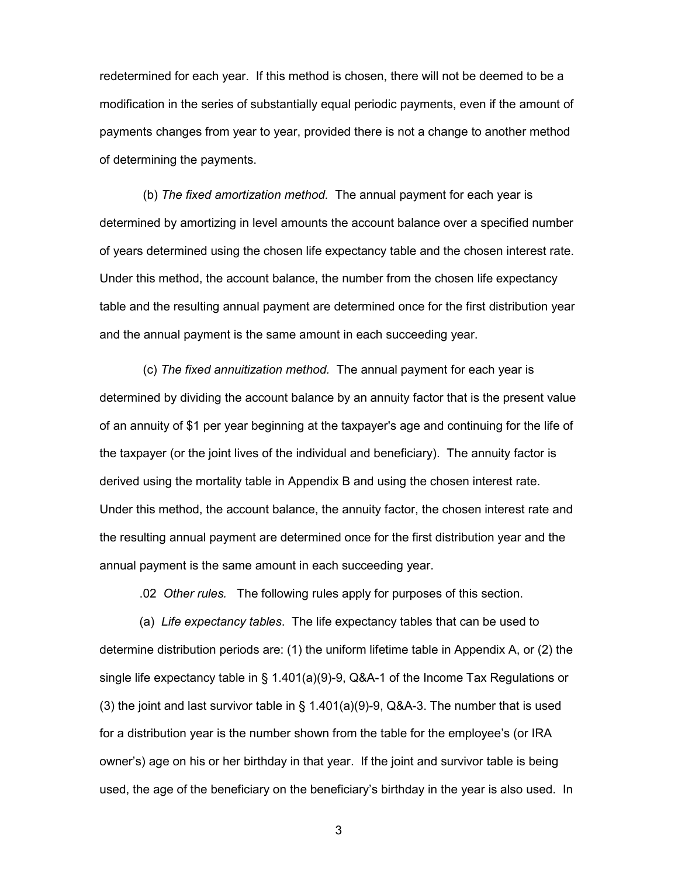redetermined for each year. If this method is chosen, there will not be deemed to be a modification in the series of substantially equal periodic payments, even if the amount of payments changes from year to year, provided there is not a change to another method of determining the payments.

 (b) *The fixed amortization method.* The annual payment for each year is determined by amortizing in level amounts the account balance over a specified number of years determined using the chosen life expectancy table and the chosen interest rate. Under this method, the account balance, the number from the chosen life expectancy table and the resulting annual payment are determined once for the first distribution year and the annual payment is the same amount in each succeeding year.

 (c) *The fixed annuitization method.* The annual payment for each year is determined by dividing the account balance by an annuity factor that is the present value of an annuity of \$1 per year beginning at the taxpayer's age and continuing for the life of the taxpayer (or the joint lives of the individual and beneficiary). The annuity factor is derived using the mortality table in Appendix B and using the chosen interest rate. Under this method, the account balance, the annuity factor, the chosen interest rate and the resulting annual payment are determined once for the first distribution year and the annual payment is the same amount in each succeeding year.

.02 *Other rules.* The following rules apply for purposes of this section.

(a) *Life expectancy tables*. The life expectancy tables that can be used to determine distribution periods are: (1) the uniform lifetime table in Appendix A, or (2) the single life expectancy table in § 1.401(a)(9)-9, Q&A-1 of the Income Tax Regulations or (3) the joint and last survivor table in § 1.401(a)(9)-9, Q&A-3. The number that is used for a distribution year is the number shown from the table for the employee's (or IRA owner's) age on his or her birthday in that year. If the joint and survivor table is being used, the age of the beneficiary on the beneficiary's birthday in the year is also used. In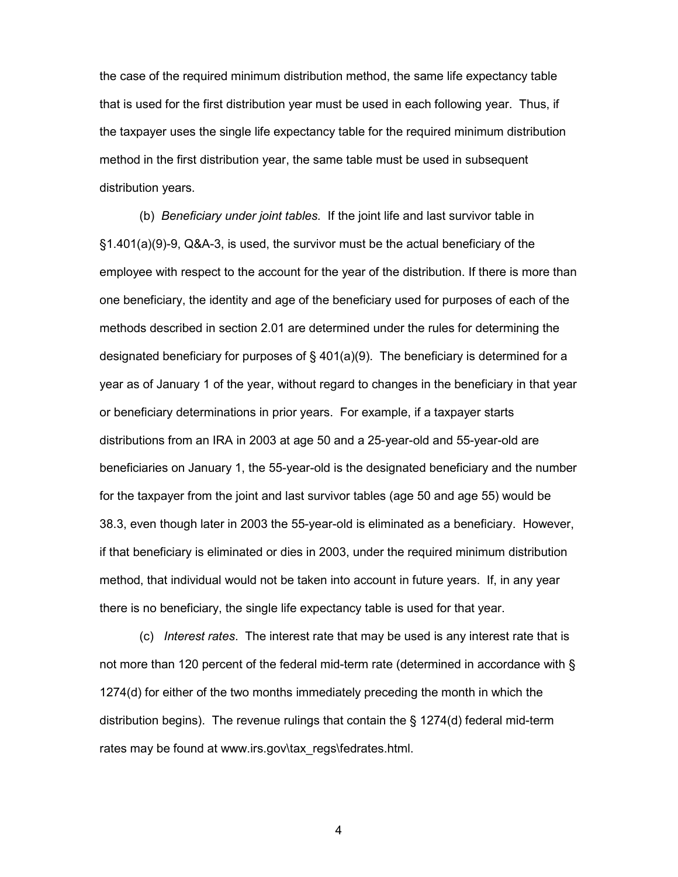the case of the required minimum distribution method, the same life expectancy table that is used for the first distribution year must be used in each following year. Thus, if the taxpayer uses the single life expectancy table for the required minimum distribution method in the first distribution year, the same table must be used in subsequent distribution years.

(b) *Beneficiary under joint tables.* If the joint life and last survivor table in §1.401(a)(9)-9, Q&A-3, is used, the survivor must be the actual beneficiary of the employee with respect to the account for the year of the distribution. If there is more than one beneficiary, the identity and age of the beneficiary used for purposes of each of the methods described in section 2.01 are determined under the rules for determining the designated beneficiary for purposes of  $\S$  401(a)(9). The beneficiary is determined for a year as of January 1 of the year, without regard to changes in the beneficiary in that year or beneficiary determinations in prior years. For example, if a taxpayer starts distributions from an IRA in 2003 at age 50 and a 25-year-old and 55-year-old are beneficiaries on January 1, the 55-year-old is the designated beneficiary and the number for the taxpayer from the joint and last survivor tables (age 50 and age 55) would be 38.3, even though later in 2003 the 55-year-old is eliminated as a beneficiary. However, if that beneficiary is eliminated or dies in 2003, under the required minimum distribution method, that individual would not be taken into account in future years. If, in any year there is no beneficiary, the single life expectancy table is used for that year.

(c) *Interest rates*. The interest rate that may be used is any interest rate that is not more than 120 percent of the federal mid-term rate (determined in accordance with § 1274(d) for either of the two months immediately preceding the month in which the distribution begins). The revenue rulings that contain the § 1274(d) federal mid-term rates may be found at www.irs.gov\tax\_regs\fedrates.html.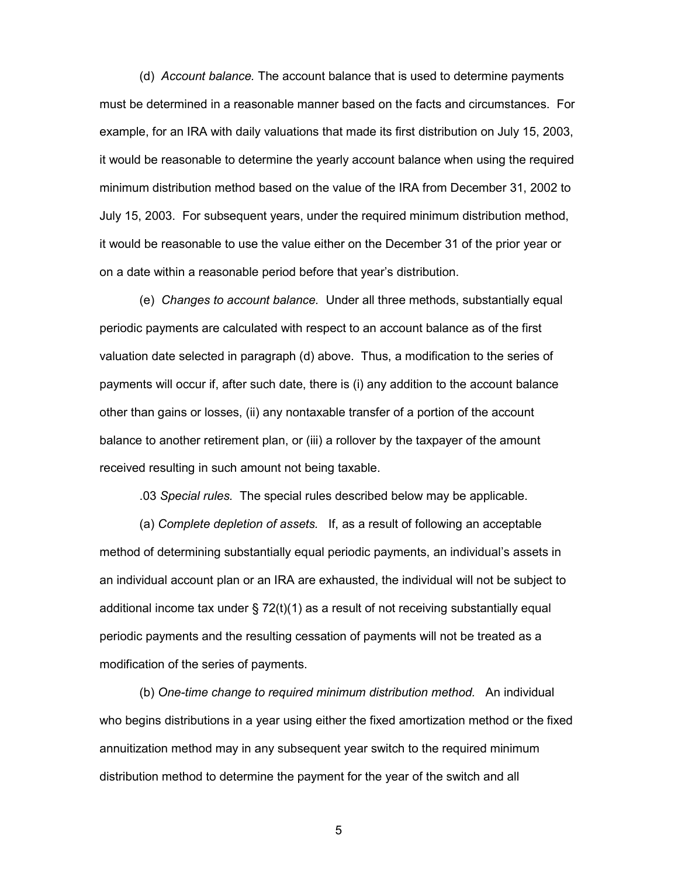(d) *Account balance.* The account balance that is used to determine payments must be determined in a reasonable manner based on the facts and circumstances. For example, for an IRA with daily valuations that made its first distribution on July 15, 2003, it would be reasonable to determine the yearly account balance when using the required minimum distribution method based on the value of the IRA from December 31, 2002 to July 15, 2003. For subsequent years, under the required minimum distribution method, it would be reasonable to use the value either on the December 31 of the prior year or on a date within a reasonable period before that year's distribution.

(e) *Changes to account balance.* Under all three methods, substantially equal periodic payments are calculated with respect to an account balance as of the first valuation date selected in paragraph (d) above. Thus, a modification to the series of payments will occur if, after such date, there is (i) any addition to the account balance other than gains or losses, (ii) any nontaxable transfer of a portion of the account balance to another retirement plan, or (iii) a rollover by the taxpayer of the amount received resulting in such amount not being taxable.

.03 *Special rules.* The special rules described below may be applicable.

(a) *Complete depletion of assets.* If, as a result of following an acceptable method of determining substantially equal periodic payments, an individual's assets in an individual account plan or an IRA are exhausted, the individual will not be subject to additional income tax under  $\S 72(t)(1)$  as a result of not receiving substantially equal periodic payments and the resulting cessation of payments will not be treated as a modification of the series of payments.

(b) *One-time change to required minimum distribution method.* An individual who begins distributions in a year using either the fixed amortization method or the fixed annuitization method may in any subsequent year switch to the required minimum distribution method to determine the payment for the year of the switch and all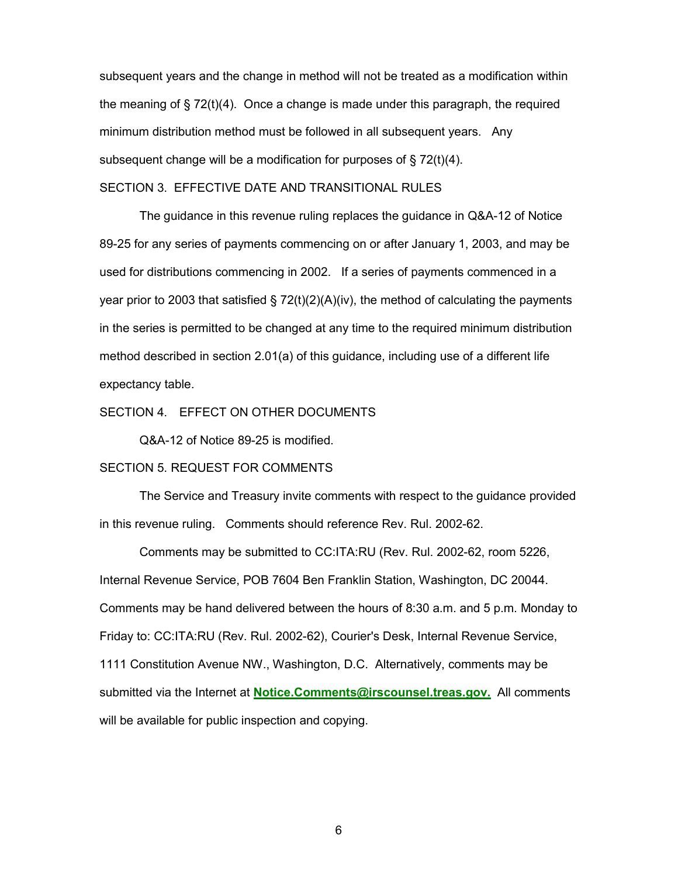subsequent years and the change in method will not be treated as a modification within the meaning of § 72(t)(4). Once a change is made under this paragraph, the required minimum distribution method must be followed in all subsequent years. Any subsequent change will be a modification for purposes of § 72(t)(4).

### SECTION 3. EFFECTIVE DATE AND TRANSITIONAL RULES

The guidance in this revenue ruling replaces the guidance in Q&A-12 of Notice 89-25 for any series of payments commencing on or after January 1, 2003, and may be used for distributions commencing in 2002. If a series of payments commenced in a year prior to 2003 that satisfied  $\S$  72(t)(2)(A)(iv), the method of calculating the payments in the series is permitted to be changed at any time to the required minimum distribution method described in section 2.01(a) of this guidance, including use of a different life expectancy table.

#### SECTION 4. EFFECT ON OTHER DOCUMENTS

Q&A-12 of Notice 89-25 is modified.

### SECTION 5. REQUEST FOR COMMENTS

The Service and Treasury invite comments with respect to the guidance provided in this revenue ruling. Comments should reference Rev. Rul. 2002-62.

Comments may be submitted to CC:ITA:RU (Rev. Rul. 2002-62, room 5226, Internal Revenue Service, POB 7604 Ben Franklin Station, Washington, DC 20044. Comments may be hand delivered between the hours of 8:30 a.m. and 5 p.m. Monday to Friday to: CC:ITA:RU (Rev. Rul. 2002-62), Courier's Desk, Internal Revenue Service, 1111 Constitution Avenue NW., Washington, D.C. Alternatively, comments may be submitted via the Internet at **Notice.Comments@irscounsel.treas.gov.** All comments will be available for public inspection and copying.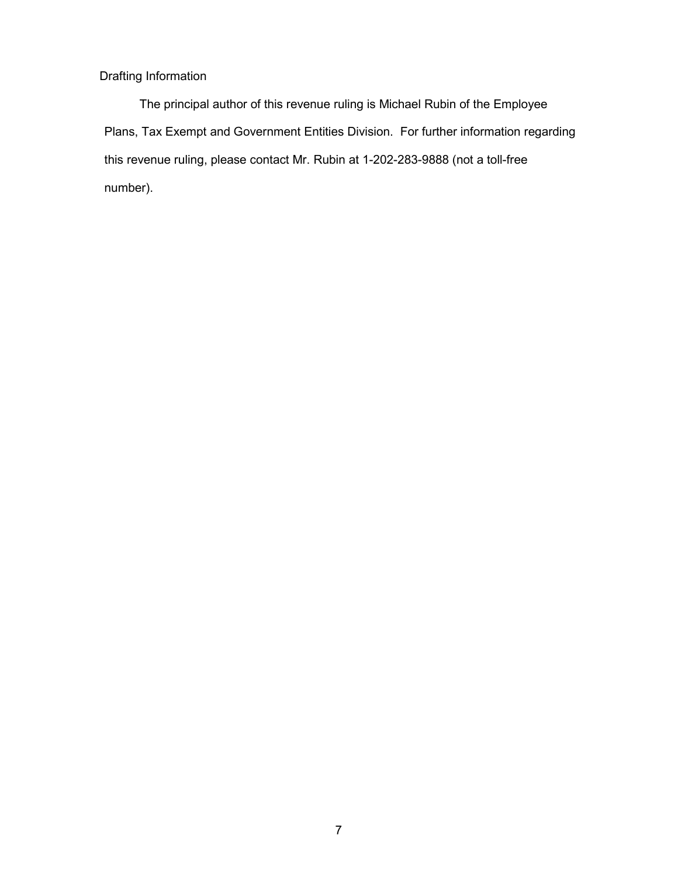## Drafting Information

The principal author of this revenue ruling is Michael Rubin of the Employee Plans, Tax Exempt and Government Entities Division. For further information regarding this revenue ruling, please contact Mr. Rubin at 1-202-283-9888 (not a toll-free number).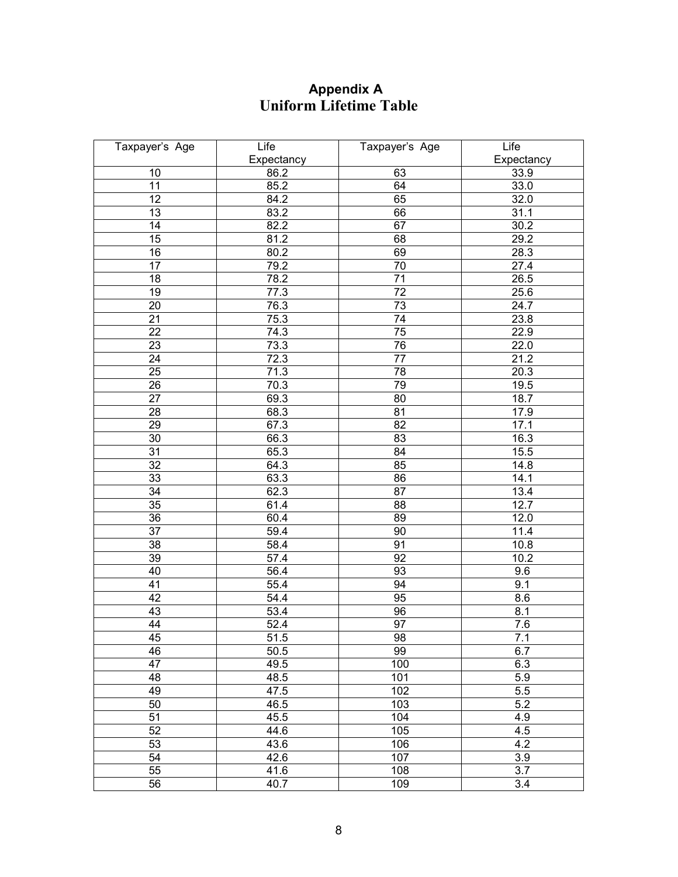## **Appendix A Uniform Lifetime Table**

| Taxpayer's Age  | Life       | Taxpayer's Age  | Life             |
|-----------------|------------|-----------------|------------------|
|                 | Expectancy |                 | Expectancy       |
| 10              | 86.2       | 63              | 33.9             |
| $\overline{11}$ | 85.2       | 64              | 33.0             |
| 12              | 84.2       | 65              | 32.0             |
| 13              | 83.2       | 66              | 31.1             |
| 14              | 82.2       | 67              | 30.2             |
| 15              | 81.2       | 68              | 29.2             |
| $\overline{16}$ | 80.2       | 69              | 28.3             |
| $\overline{17}$ | 79.2       | $\overline{70}$ | 27.4             |
| 18              | 78.2       | $\overline{71}$ | 26.5             |
| 19              | 77.3       | $\overline{72}$ | 25.6             |
| 20              | 76.3       | $\overline{73}$ | 24.7             |
| $\overline{21}$ | 75.3       | $\overline{74}$ | 23.8             |
| 22              | 74.3       | $\overline{75}$ | 22.9             |
| 23              | 73.3       | 76              | 22.0             |
| 24              | 72.3       | $\overline{77}$ | 21.2             |
| 25              | 71.3       | 78              | 20.3             |
| 26              | 70.3       | 79              | 19.5             |
| $\overline{27}$ | 69.3       | 80              | 18.7             |
| 28              | 68.3       | 81              | 17.9             |
| 29              | 67.3       | 82              | 17.1             |
| 30              | 66.3       | 83              | 16.3             |
| 31              | 65.3       | $\overline{84}$ | 15.5             |
| $\overline{32}$ | 64.3       | 85              | 14.8             |
| 33              | 63.3       | 86              | 14.1             |
| $\overline{34}$ | 62.3       | $\overline{87}$ | 13.4             |
| $\overline{35}$ | 61.4       | 88              | 12.7             |
| $\overline{36}$ | 60.4       | 89              | 12.0             |
| $\overline{37}$ | 59.4       | 90              | 11.4             |
| $\overline{38}$ | 58.4       | 91              | 10.8             |
| 39              | 57.4       | 92              | 10.2             |
| 40              | 56.4       | 93              | 9.6              |
| 41              | 55.4       | 94              | 9.1              |
| 42              | 54.4       | 95              | 8.6              |
| 43              | 53.4       | 96              | 8.1              |
| 44              | 52.4       | 97              | $\overline{7.6}$ |
| 45              | 51.5       | 98              | 7.1              |
| 46              | 50.5       | 99              | 6.7              |
| $\overline{47}$ | 49.5       | 100             | 6.3              |
| 48              | 48.5       | 101             | 5.9              |
| 49              | 47.5       | 102             | 5.5              |
| 50              | 46.5       | 103             | 5.2              |
| $\overline{51}$ | 45.5       | 104             | 4.9              |
| 52              | 44.6       | 105             | 4.5              |
| 53              | 43.6       | 106             | 4.2              |
| $\overline{54}$ | 42.6       | 107             | 3.9              |
| 55              | 41.6       | 108             | $\overline{3.7}$ |
| $\overline{56}$ | 40.7       | 109             | $\overline{3.4}$ |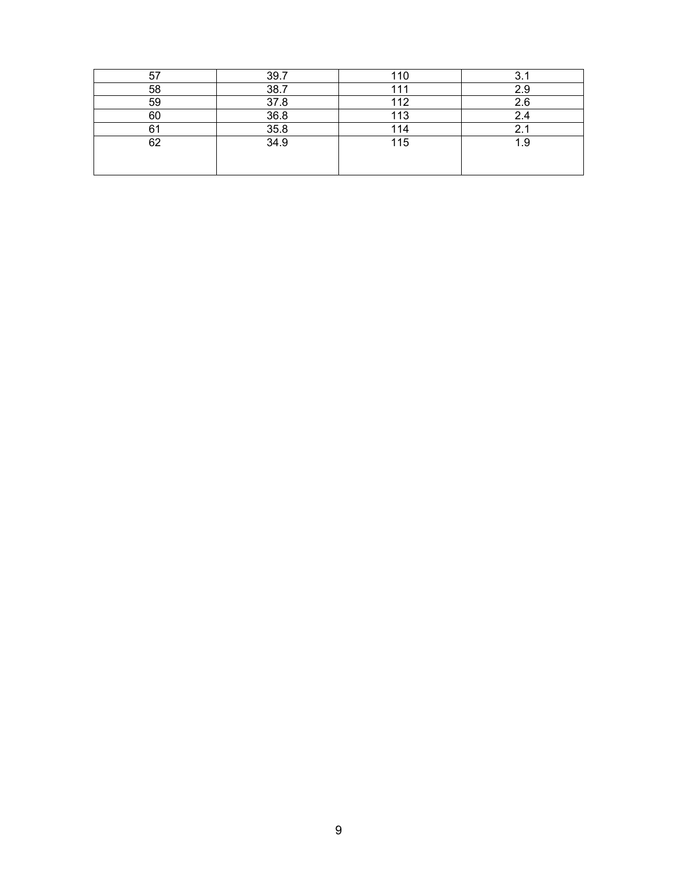| 57 | 39.7 | 10  | ົ   |
|----|------|-----|-----|
| 58 | 38.7 |     |     |
| 59 | 37.8 | 112 | 2.6 |
| 60 | 36.8 | 113 | 2.4 |
| Λ. | 35.8 | 114 |     |
| 62 | 34.9 | 115 | 1.9 |
|    |      |     |     |
|    |      |     |     |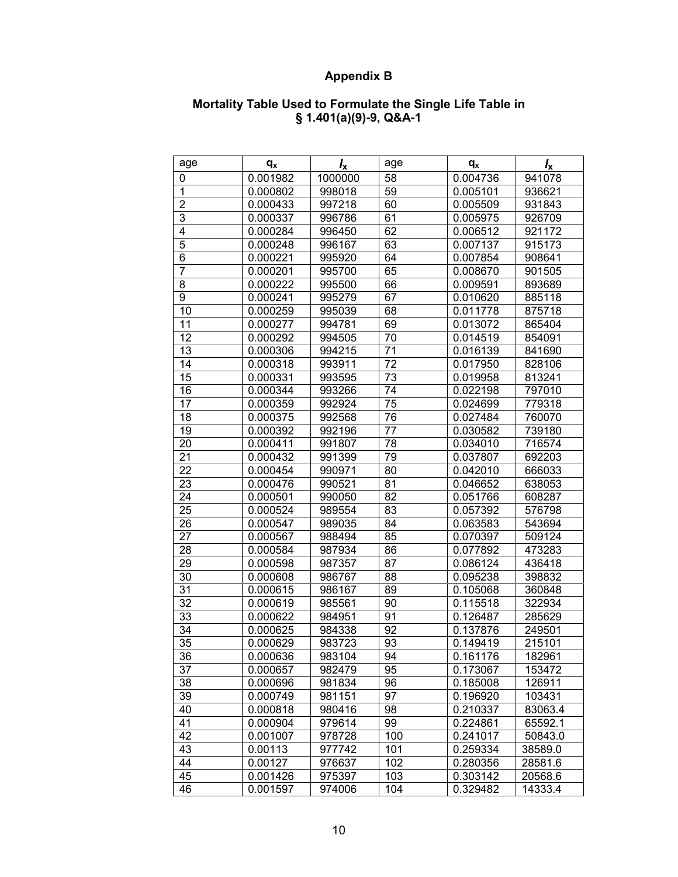# **Appendix B**

### **Mortality Table Used to Formulate the Single Life Table in § 1.401(a)(9)-9, Q&A-1**

| age                      | $q_{x}$  | $I_{\rm x}$ | age | $q_{x}$  | $I_{\rm x}$ |
|--------------------------|----------|-------------|-----|----------|-------------|
| 0                        | 0.001982 | 1000000     | 58  | 0.004736 | 941078      |
| $\mathbf{1}$             | 0.000802 | 998018      | 59  | 0.005101 | 936621      |
| $\overline{\mathbf{c}}$  | 0.000433 | 997218      | 60  | 0.005509 | 931843      |
| $\overline{3}$           | 0.000337 | 996786      | 61  | 0.005975 | 926709      |
| $\overline{4}$           | 0.000284 | 996450      | 62  | 0.006512 | 921172      |
| $\overline{5}$           | 0.000248 | 996167      | 63  | 0.007137 | 915173      |
| $\overline{6}$           | 0.000221 | 995920      | 64  | 0.007854 | 908641      |
| $\overline{\mathcal{I}}$ | 0.000201 | 995700      | 65  | 0.008670 | 901505      |
| 8                        | 0.000222 | 995500      | 66  | 0.009591 | 893689      |
| 9                        | 0.000241 | 995279      | 67  | 0.010620 | 885118      |
| 10                       | 0.000259 | 995039      | 68  | 0.011778 | 875718      |
| 11                       | 0.000277 | 994781      | 69  | 0.013072 | 865404      |
| 12                       | 0.000292 | 994505      | 70  | 0.014519 | 854091      |
| 13                       | 0.000306 | 994215      | 71  | 0.016139 | 841690      |
| 14                       | 0.000318 | 993911      | 72  | 0.017950 | 828106      |
| 15                       | 0.000331 | 993595      | 73  | 0.019958 | 813241      |
| 16                       | 0.000344 | 993266      | 74  | 0.022198 | 797010      |
| 17                       | 0.000359 | 992924      | 75  | 0.024699 | 779318      |
| 18                       | 0.000375 | 992568      | 76  | 0.027484 | 760070      |
| 19                       | 0.000392 | 992196      | 77  | 0.030582 | 739180      |
| 20                       | 0.000411 | 991807      | 78  | 0.034010 | 716574      |
| 21                       | 0.000432 | 991399      | 79  | 0.037807 | 692203      |
| 22                       | 0.000454 | 990971      | 80  | 0.042010 | 666033      |
| 23                       | 0.000476 | 990521      | 81  | 0.046652 | 638053      |
| 24                       | 0.000501 | 990050      | 82  | 0.051766 | 608287      |
| 25                       | 0.000524 | 989554      | 83  | 0.057392 | 576798      |
| 26                       | 0.000547 | 989035      | 84  | 0.063583 | 543694      |
| 27                       | 0.000567 | 988494      | 85  | 0.070397 | 509124      |
| 28                       | 0.000584 | 987934      | 86  | 0.077892 | 473283      |
| 29                       | 0.000598 | 987357      | 87  | 0.086124 | 436418      |
| 30                       | 0.000608 | 986767      | 88  | 0.095238 | 398832      |
| 31                       | 0.000615 | 986167      | 89  | 0.105068 | 360848      |
| 32                       | 0.000619 | 985561      | 90  | 0.115518 | 322934      |
| 33                       | 0.000622 | 984951      | 91  | 0.126487 | 285629      |
| 34                       | 0.000625 | 984338      | 92  | 0.137876 | 249501      |
| 35                       | 0.000629 | 983723      | 93  | 0.149419 | 215101      |
| 36                       | 0.000636 | 983104      | 94  | 0.161176 | 182961      |
| 37                       | 0.000657 | 982479      | 95  | 0.173067 | 153472      |
| 38                       | 0.000696 | 981834      | 96  | 0.185008 | 126911      |
| 39                       | 0.000749 | 981151      | 97  | 0.196920 | 103431      |
| 40                       | 0.000818 | 980416      | 98  | 0.210337 | 83063.4     |
| 41                       | 0.000904 | 979614      | 99  | 0.224861 | 65592.1     |
| 42                       | 0.001007 | 978728      | 100 | 0.241017 | 50843.0     |
| 43                       | 0.00113  | 977742      | 101 | 0.259334 | 38589.0     |
| 44                       | 0.00127  | 976637      | 102 | 0.280356 | 28581.6     |
| 45                       | 0.001426 | 975397      | 103 | 0.303142 | 20568.6     |
| 46                       | 0.001597 | 974006      | 104 | 0.329482 | 14333.4     |